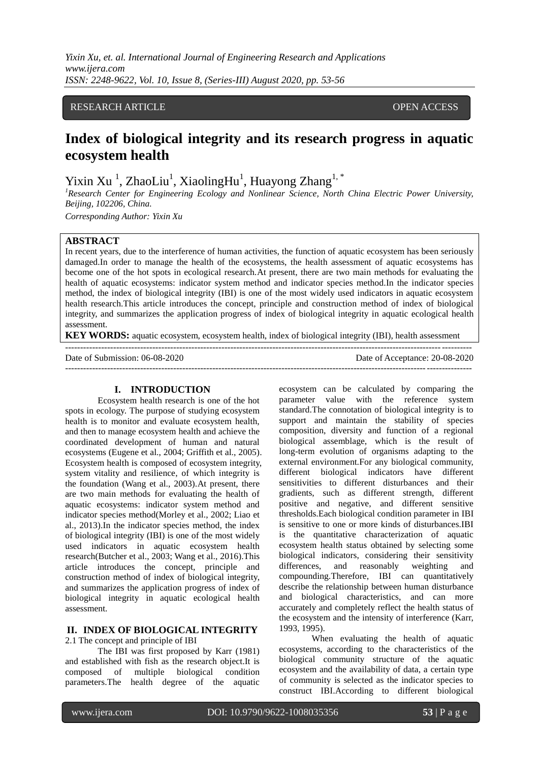## RESEARCH ARTICLE OPEN ACCESS

# **Index of biological integrity and its research progress in aquatic ecosystem health**

Yixin Xu<sup>1</sup>, ZhaoLiu<sup>1</sup>, XiaolingHu<sup>1</sup>, Huayong Zhang<sup>1,\*</sup>

*<sup>1</sup>Research Center for Engineering Ecology and Nonlinear Science, North China Electric Power University, Beijing, 102206, China.*

*Corresponding Author: Yixin Xu*

### **ABSTRACT**

In recent years, due to the interference of human activities, the function of aquatic ecosystem has been seriously damaged.In order to manage the health of the ecosystems, the health assessment of aquatic ecosystems has become one of the hot spots in ecological research.At present, there are two main methods for evaluating the health of aquatic ecosystems: indicator system method and indicator species method.In the indicator species method, the index of biological integrity (IBI) is one of the most widely used indicators in aquatic ecosystem health research.This article introduces the concept, principle and construction method of index of biological integrity, and summarizes the application progress of index of biological integrity in aquatic ecological health assessment.

**KEY WORDS:** aquatic ecosystem, ecosystem health, index of biological integrity (IBI), health assessment ---------------------------------------------------------------------------------------------------------------------------------------

Date of Submission: 06-08-2020 Date of Acceptance: 20-08-2020

---------------------------------------------------------------------------------------------------------------------------------------

## **I. INTRODUCTION**

Ecosystem health research is one of the hot spots in ecology. The purpose of studying ecosystem health is to monitor and evaluate ecosystem health, and then to manage ecosystem health and achieve the coordinated development of human and natural ecosystems (Eugene et al., 2004; Griffith et al., 2005). Ecosystem health is composed of ecosystem integrity, system vitality and resilience, of which integrity is the foundation (Wang et al., 2003).At present, there are two main methods for evaluating the health of aquatic ecosystems: indicator system method and indicator species method(Morley et al., 2002; Liao et al., 2013).In the indicator species method, the index of biological integrity (IBI) is one of the most widely used indicators in aquatic ecosystem health research(Butcher et al., 2003; Wang et al., 2016).This article introduces the concept, principle and construction method of index of biological integrity, and summarizes the application progress of index of biological integrity in aquatic ecological health assessment.

## **II. INDEX OF BIOLOGICAL INTEGRITY**

2.1 The concept and principle of IBI

The IBI was first proposed by Karr (1981) and established with fish as the research object.It is composed of multiple biological condition parameters.The health degree of the aquatic ecosystem can be calculated by comparing the parameter value with the reference system standard.The connotation of biological integrity is to support and maintain the stability of species composition, diversity and function of a regional biological assemblage, which is the result of long-term evolution of organisms adapting to the external environment.For any biological community, different biological indicators have different sensitivities to different disturbances and their gradients, such as different strength, different positive and negative, and different sensitive thresholds.Each biological condition parameter in IBI is sensitive to one or more kinds of disturbances.IBI is the quantitative characterization of aquatic ecosystem health status obtained by selecting some biological indicators, considering their sensitivity differences, and reasonably weighting and compounding.Therefore, IBI can quantitatively describe the relationship between human disturbance and biological characteristics, and can more accurately and completely reflect the health status of the ecosystem and the intensity of interference (Karr, 1993, 1995).

When evaluating the health of aquatic ecosystems, according to the characteristics of the biological community structure of the aquatic ecosystem and the availability of data, a certain type of community is selected as the indicator species to construct IBI.According to different biological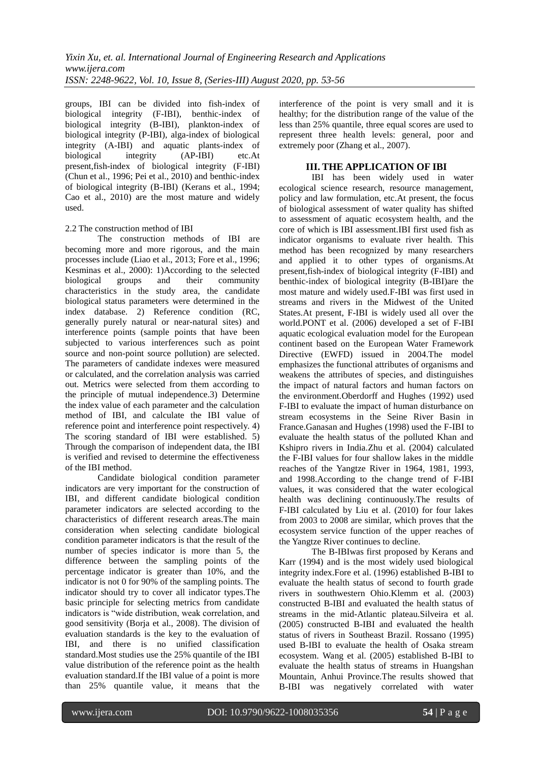groups, IBI can be divided into fish-index of biological integrity (F-IBI), benthic-index of biological integrity (B-IBI), plankton-index of biological integrity (P-IBI), alga-index of biological integrity (A-IBI) and aquatic plants-index of biological integrity (AP-IBI) etc.At present,fish-index of biological integrity (F-IBI) (Chun et al., 1996; Pei et al., 2010) and benthic-index of biological integrity (B-IBI) (Kerans et al., 1994; Cao et al., 2010) are the most mature and widely used.

#### 2.2 The construction method of IBI

The construction methods of IBI are becoming more and more rigorous, and the main processes include (Liao et al., 2013; Fore et al., 1996; Kesminas et al., 2000): 1)According to the selected biological groups and their community characteristics in the study area, the candidate biological status parameters were determined in the index database. 2) Reference condition (RC, generally purely natural or near-natural sites) and interference points (sample points that have been subjected to various interferences such as point source and non-point source pollution) are selected. The parameters of candidate indexes were measured or calculated, and the correlation analysis was carried out. Metrics were selected from them according to the principle of mutual independence.3) Determine the index value of each parameter and the calculation method of IBI, and calculate the IBI value of reference point and interference point respectively. 4) The scoring standard of IBI were established. 5) Through the comparison of independent data, the IBI is verified and revised to determine the effectiveness of the IBI method.

Candidate biological condition parameter indicators are very important for the construction of IBI, and different candidate biological condition parameter indicators are selected according to the characteristics of different research areas.The main consideration when selecting candidate biological condition parameter indicators is that the result of the number of species indicator is more than 5, the difference between the sampling points of the percentage indicator is greater than 10%, and the indicator is not 0 for 90% of the sampling points. The indicator should try to cover all indicator types.The basic principle for selecting metrics from candidate indicators is "wide distribution, weak correlation, and good sensitivity (Borja et al., 2008). The division of evaluation standards is the key to the evaluation of IBI, and there is no unified classification standard.Most studies use the 25% quantile of the IBI value distribution of the reference point as the health evaluation standard.If the IBI value of a point is more than 25% quantile value, it means that the

interference of the point is very small and it is healthy; for the distribution range of the value of the less than 25% quantile, three equal scores are used to represent three health levels: general, poor and extremely poor (Zhang et al., 2007).

## **III. THE APPLICATION OF IBI**

IBI has been widely used in water ecological science research, resource management, policy and law formulation, etc.At present, the focus of biological assessment of water quality has shifted to assessment of aquatic ecosystem health, and the core of which is IBI assessment.IBI first used fish as indicator organisms to evaluate river health. This method has been recognized by many researchers and applied it to other types of organisms.At present,fish-index of biological integrity (F-IBI) and benthic-index of biological integrity (B-IBI)are the most mature and widely used.F-IBI was first used in streams and rivers in the Midwest of the United States.At present, F-IBI is widely used all over the world.PONT et al. (2006) developed a set of F-IBI aquatic ecological evaluation model for the European continent based on the European Water Framework Directive (EWFD) issued in 2004.The model emphasizes the functional attributes of organisms and weakens the attributes of species, and distinguishes the impact of natural factors and human factors on the environment.Oberdorff and Hughes (1992) used F-IBI to evaluate the impact of human disturbance on stream ecosystems in the Seine River Basin in France.Ganasan and Hughes (1998) used the F-IBI to evaluate the health status of the polluted Khan and Kshipro rivers in India.Zhu et al. (2004) calculated the F-IBI values for four shallow lakes in the middle reaches of the Yangtze River in 1964, 1981, 1993, and 1998.According to the change trend of F-IBI values, it was considered that the water ecological health was declining continuously.The results of F-IBI calculated by Liu et al. (2010) for four lakes from 2003 to 2008 are similar, which proves that the ecosystem service function of the upper reaches of the Yangtze River continues to decline.

The B-IBIwas first proposed by Kerans and Karr (1994) and is the most widely used biological integrity index.Fore et al. (1996) established B-IBI to evaluate the health status of second to fourth grade rivers in southwestern Ohio.Klemm et al. (2003) constructed B-IBI and evaluated the health status of streams in the mid-Atlantic plateau.Silveira et al. (2005) constructed B-IBI and evaluated the health status of rivers in Southeast Brazil. Rossano (1995) used B-IBI to evaluate the health of Osaka stream ecosystem. Wang et al. (2005) established B-IBI to evaluate the health status of streams in Huangshan Mountain, Anhui Province.The results showed that B-IBI was negatively correlated with water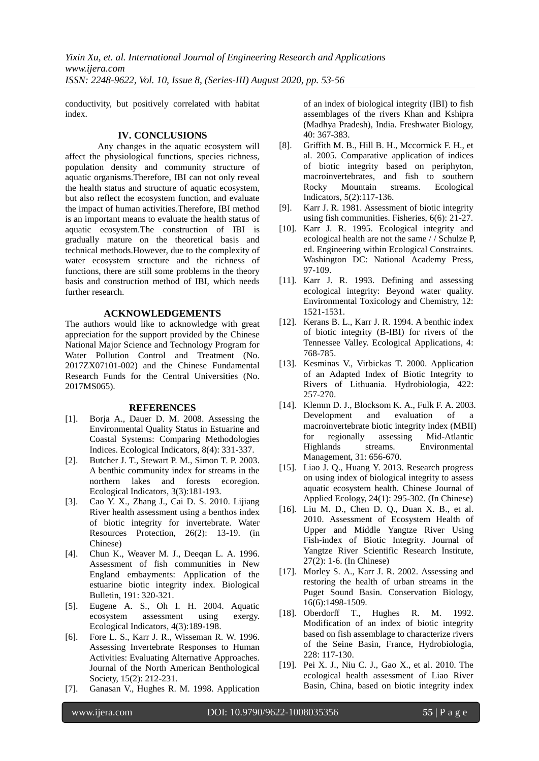conductivity, but positively correlated with habitat index.

### **IV. CONCLUSIONS**

Any changes in the aquatic ecosystem will affect the physiological functions, species richness, population density and community structure of aquatic organisms.Therefore, IBI can not only reveal the health status and structure of aquatic ecosystem, but also reflect the ecosystem function, and evaluate the impact of human activities.Therefore, IBI method is an important means to evaluate the health status of aquatic ecosystem.The construction of IBI is gradually mature on the theoretical basis and technical methods.However, due to the complexity of water ecosystem structure and the richness of functions, there are still some problems in the theory basis and construction method of IBI, which needs further research.

## **ACKNOWLEDGEMENTS**

The authors would like to acknowledge with great appreciation for the support provided by the Chinese National Major Science and Technology Program for Water Pollution Control and Treatment (No. 2017ZX07101-002) and the Chinese Fundamental Research Funds for the Central Universities (No. 2017MS065).

#### **REFERENCES**

- [1]. Boria A., Dauer D. M. 2008. Assessing the Environmental Quality Status in Estuarine and Coastal Systems: Comparing Methodologies Indices. Ecological Indicators, 8(4): 331-337.
- [2]. Butcher J. T., Stewart P. M., Simon T. P. 2003. A benthic community index for streams in the northern lakes and forests ecoregion. Ecological Indicators, 3(3):181-193.
- [3]. Cao Y. X., Zhang J., Cai D. S. 2010. Lijiang River health assessment using a benthos index of biotic integrity for invertebrate. Water Resources Protection, 26(2): 13-19. (in Chinese)
- [4]. Chun K., Weaver M. J., Deeqan L. A. 1996. Assessment of fish communities in New England embayments: Application of the estuarine biotic integrity index. Biological Bulletin, 191: 320-321.
- [5]. Eugene A. S., Oh I. H. 2004. Aquatic ecosystem assessment using exergy. Ecological Indicators, 4(3):189-198.
- [6]. Fore L. S., Karr J. R., Wisseman R. W. 1996. Assessing Invertebrate Responses to Human Activities: Evaluating Alternative Approaches. Journal of the North American Benthological Society, 15(2): 212-231.
- [7]. Ganasan V., Hughes R. M. 1998. Application

of an index of biological integrity (IBI) to fish assemblages of the rivers Khan and Kshipra (Madhya Pradesh), India. Freshwater Biology, 40: 367-383.

- [8]. Griffith M. B., Hill B. H., Mccormick F. H., et al. 2005. Comparative application of indices of biotic integrity based on periphyton, macroinvertebrates, and fish to southern Rocky Mountain streams. Ecological Indicators, 5(2):117-136.
- [9]. Karr J. R. 1981. Assessment of biotic integrity using fish communities. Fisheries, 6(6): 21-27.
- [10]. Karr J. R. 1995. Ecological integrity and ecological health are not the same / / Schulze P, ed. Engineering within Ecological Constraints. Washington DC: National Academy Press, 97-109.
- [11]. Karr J. R. 1993. Defining and assessing ecological integrity: Beyond water quality. Environmental Toxicology and Chemistry, 12: 1521-1531.
- [12]. Kerans B. L., Karr J. R. 1994. A benthic index of biotic integrity (B-IBI) for rivers of the Tennessee Valley. Ecological Applications, 4: 768-785.
- [13]. Kesminas V., Virbickas T. 2000. Application of an Adapted Index of Biotic Integrity to Rivers of Lithuania. Hydrobiologia, 422: 257-270.
- [14]. Klemm D. J., Blocksom K. A., Fulk F. A. 2003. Development and evaluation of a macroinvertebrate biotic integrity index (MBII) for regionally assessing Mid-Atlantic Highlands streams. Environmental Management, 31: 656-670.
- [15]. Liao J. Q., Huang Y. 2013. Research progress on using index of biological integrity to assess aquatic ecosystem health. Chinese Journal of Applied Ecology, 24(1): 295-302. (In Chinese)
- [16]. Liu M. D., Chen D. Q., Duan X. B., et al. 2010. Assessment of Ecosystem Health of Upper and Middle Yangtze River Using Fish-index of Biotic Integrity. Journal of Yangtze River Scientific Research Institute, 27(2): 1-6. (In Chinese)
- [17]. Morley S. A., Karr J. R. 2002. Assessing and restoring the health of urban streams in the Puget Sound Basin. Conservation Biology, 16(6):1498-1509.
- [18]. Oberdorff T., Hughes R. M. 1992. Modification of an index of biotic integrity based on fish assemblage to characterize rivers of the Seine Basin, France, Hydrobiologia, 228: 117-130.
- [19]. Pei X. J., Niu C. J., Gao X., et al. 2010. The ecological health assessment of Liao River Basin, China, based on biotic integrity index